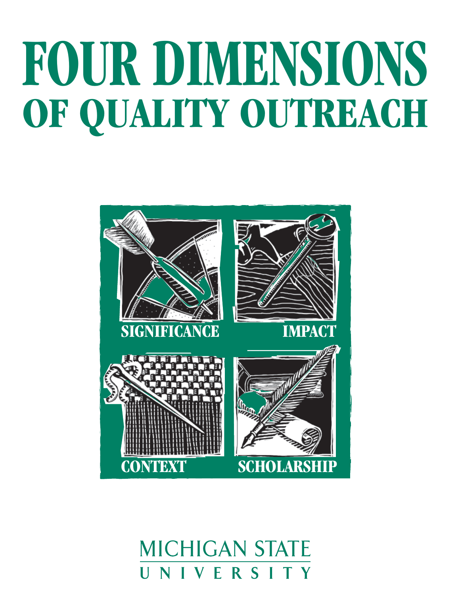# **FOUR DIMENSIONS** OF QUALITY OUTREACH



**MICHIGAN STATE** VERSITY Н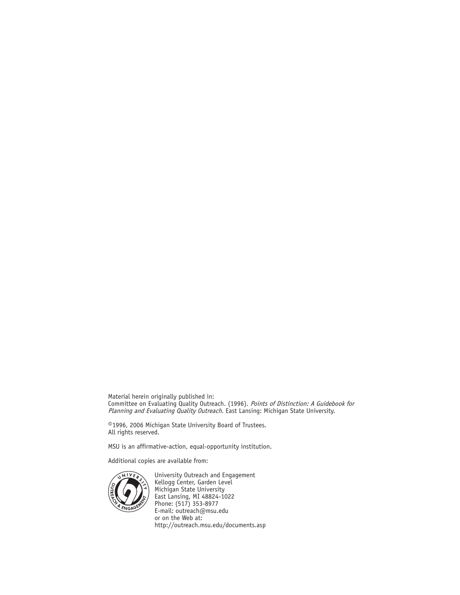Material herein originally published in: Committee on Evaluating Quality Outreach. (1996). Points of Distinction: A Guidebook for *Planning and Evaluating Quality Outreach*. East Lansing: Michigan State University.

©1996, 2006 Michigan State University Board of Trustees. All rights reserved.

MSU is an affirmative-action, equal-opportunity institution.

Additional copies are available from:



University Outreach and Engagement Kellogg Center, Garden Level Michigan State University East Lansing, MI 48824-1022 Phone: (517) 353-8977 E-mail: outreach@msu.edu or on the Web at: http://outreach.msu.edu/documents.asp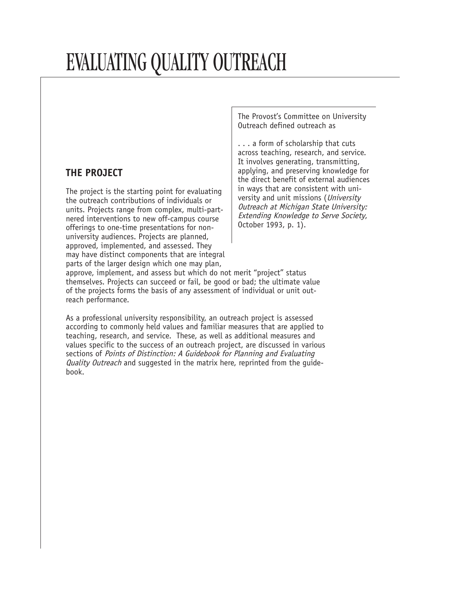# EVALUATING QUALITY OUTREACH

#### **THE PROJECT**

The project is the starting point for evaluating the outreach contributions of individuals or units. Projects range from complex, multi-partnered interventions to new off-campus course offerings to one-time presentations for nonuniversity audiences. Projects are planned, approved, implemented, and assessed. They may have distinct components that are integral parts of the larger design which one may plan,

The Provost's Committee on University Outreach defined outreach as

. . . a form of scholarship that cuts across teaching, research, and service. It involves generating, transmitting, applying, and preserving knowledge for the direct benefit of external audiences in ways that are consistent with university and unit missions (University Outreach at Michigan State University: Extending Knowledge to Serve Society, October 1993, p. 1).

approve, implement, and assess but which do not merit "project" status themselves. Projects can succeed or fail, be good or bad; the ultimate value of the projects forms the basis of any assessment of individual or unit outreach performance.

As a professional university responsibility, an outreach project is assessed according to commonly held values and familiar measures that are applied to teaching, research, and service. These, as well as additional measures and values specific to the success of an outreach project, are discussed in various sections of Points of Distinction: A Guidebook for Planning and Evaluating Quality Outreach and suggested in the matrix here, reprinted from the guidebook.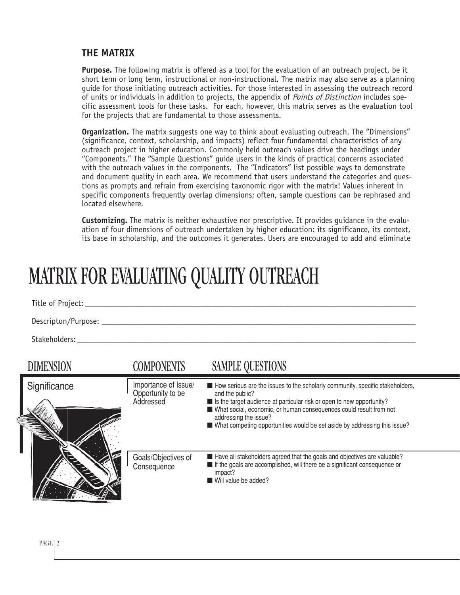#### **THE MATRIX**

**Purpose.** The following matrix is offered as a tool for the evaluation of an outreach project, be it short term or long term, instructional or non-instructional. The matrix may also serve as a planning guide for those initiating outreach activities. For those interested in assessing the outreach record of units or individuals in addition to projects, the appendix of *Points of Distinction* includes specific assessment tools for these tasks. For each, however, this matrix serves as the evaluation tool for the projects that are fundamental to those assessments.

**Organization.** The matrix suggests one way to think about evaluating outreach. The "Dimensions" (significance, context, scholarship, and impacts) reflect four fundamental characteristics of any outreach project in higher education. Commonly held outreach values drive the headings under "Components." The "Sample Questions" guide users in the kinds of practical concerns associated with the outreach values in the components. The "Indicators" list possible ways to demonstrate and document quality in each area. We recommend that users understand the categories and questions as prompts and refrain from exercising taxonomic rigor with the matrix! Values inherent in specific components frequently overlap dimensions; often, sample questions can be rephrased and located elsewhere.

**Customizing.** The matrix is neither exhaustive nor prescriptive. It provides guidance in the evaluation of four dimensions of outreach undertaken by higher education: its significance, its context, its base in scholarship, and the outcomes it generates. Users are encouraged to add and eliminate

# MATRIX FOR EVALUATING QUALITY OUTREACH

Title of Project:  $\blacksquare$ 

Descripton/Purpose:

Stakeholders:

| <b>DIMENSION</b> | <b>COMPONENTS</b>                                      | <b>SAMPLE QUESTIONS</b>                                                                                                                                                                                                                                                                                                                                   |
|------------------|--------------------------------------------------------|-----------------------------------------------------------------------------------------------------------------------------------------------------------------------------------------------------------------------------------------------------------------------------------------------------------------------------------------------------------|
| Significance     | Importance of Issue/<br>Opportunity to be<br>Addressed | How serious are the issues to the scholarly community, specific stakeholders,<br>and the public?<br>■ Is the target audience at particular risk or open to new opportunity?<br>What social, economic, or human consequences could result from not<br>addressing the issue?<br>■ What competing opportunities would be set aside by addressing this issue? |
|                  | Goals/Objectives of<br>Consequence                     | ■ Have all stakeholders agreed that the goals and objectives are valuable?<br>If the goals are accomplished, will there be a significant consequence or<br>impact?<br>Will value be added?                                                                                                                                                                |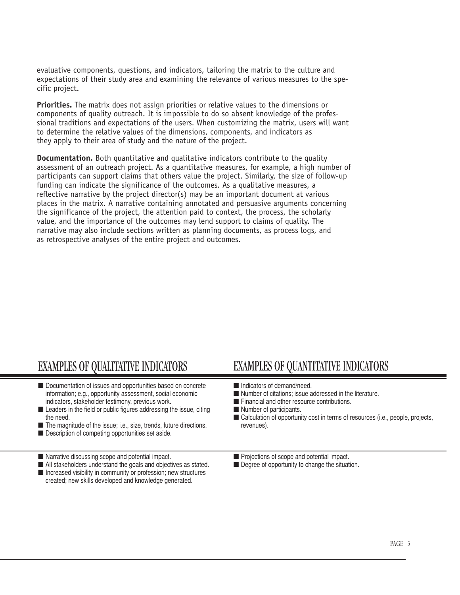evaluative components, questions, and indicators, tailoring the matrix to the culture and expectations of their study area and examining the relevance of various measures to the specific project.

**Priorities.** The matrix does not assign priorities or relative values to the dimensions or components of quality outreach. It is impossible to do so absent knowledge of the professional traditions and expectations of the users. When customizing the matrix, users will want to determine the relative values of the dimensions, components, and indicators as they apply to their area of study and the nature of the project.

**Documentation.** Both quantitative and qualitative indicators contribute to the quality assessment of an outreach project. As a quantitative measures, for example, a high number of participants can support claims that others value the project. Similarly, the size of follow-up funding can indicate the significance of the outcomes. As a qualitative measures, a reflective narrative by the project director(s) may be an important document at various places in the matrix. A narrative containing annotated and persuasive arguments concerning the significance of the project, the attention paid to context, the process, the scholarly value, and the importance of the outcomes may lend support to claims of quality. The narrative may also include sections written as planning documents, as process logs, and as retrospective analyses of the entire project and outcomes.

- Documentation of issues and opportunities based on concrete information; e.g., opportunity assessment, social economic indicators, stakeholder testimony, previous work.
- Leaders in the field or public figures addressing the issue, citing the need.
- The magnitude of the issue; i.e., size, trends, future directions.
- Description of competing opportunities set aside.
- Narrative discussing scope and potential impact.
- All stakeholders understand the goals and objectives as stated. ■ Increased visibility in community or profession; new structures created; new skills developed and knowledge generated.

### EXAMPLES OF QUALITATIVE INDICATORS EXAMPLES OF QUANTITATIVE INDICATORS

- Indicators of demand/need.
- Number of citations; issue addressed in the literature.
- Financial and other resource contributions.
- Number of participants.
- Calculation of opportunity cost in terms of resources (i.e., people, projects, revenues).
- Projections of scope and potential impact.
- Degree of opportunity to change the situation.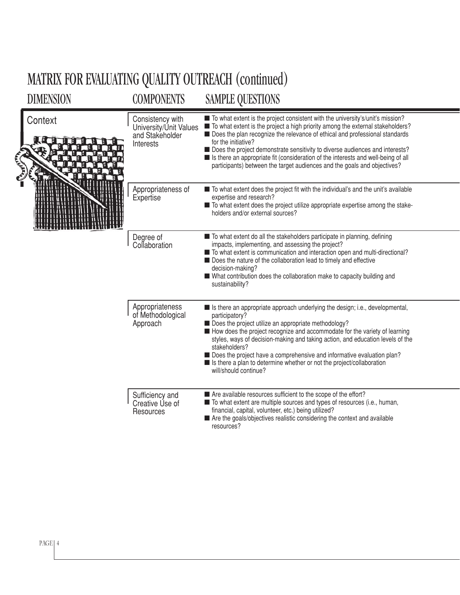# MATRIX FOR EVALUATING QUALITY OUTREACH (continued)

| DIMENSION | <b>COMPONENTS</b>                                                          | <b>SAMPLE QUESTIONS</b>                                                                                                                                                                                                                                                                                                                                                                                                                                                                                                       |
|-----------|----------------------------------------------------------------------------|-------------------------------------------------------------------------------------------------------------------------------------------------------------------------------------------------------------------------------------------------------------------------------------------------------------------------------------------------------------------------------------------------------------------------------------------------------------------------------------------------------------------------------|
| Context   | Consistency with<br>University/Unit Values<br>and Stakeholder<br>Interests | ■ To what extent is the project consistent with the university's/unit's mission?<br>■ To what extent is the project a high priority among the external stakeholders?<br>Does the plan recognize the relevance of ethical and professional standards<br>for the initiative?<br>Does the project demonstrate sensitivity to diverse audiences and interests?<br>■ Is there an appropriate fit (consideration of the interests and well-being of all<br>participants) between the target audiences and the goals and objectives? |
|           | Appropriateness of<br>Expertise                                            | ■ To what extent does the project fit with the individual's and the unit's available<br>expertise and research?<br>■ To what extent does the project utilize appropriate expertise among the stake-<br>holders and/or external sources?                                                                                                                                                                                                                                                                                       |
|           | Degree of<br>Collaboration                                                 | To what extent do all the stakeholders participate in planning, defining<br>impacts, implementing, and assessing the project?<br>■ To what extent is communication and interaction open and multi-directional?<br>Does the nature of the collaboration lead to timely and effective<br>decision-making?<br>■ What contribution does the collaboration make to capacity building and<br>sustainability?                                                                                                                        |
|           | Appropriateness<br>of Methodological<br>Approach                           | Is there an appropriate approach underlying the design; i.e., developmental,<br>participatory?<br>Does the project utilize an appropriate methodology?<br>How does the project recognize and accommodate for the variety of learning<br>styles, ways of decision-making and taking action, and education levels of the<br>stakeholders?<br>Does the project have a comprehensive and informative evaluation plan?<br>Is there a plan to determine whether or not the project/collaboration<br>will/should continue?           |
|           | Sufficiency and<br>Creative Use of<br>Resources                            | Are available resources sufficient to the scope of the effort?<br>■ To what extent are multiple sources and types of resources (i.e., human,<br>financial, capital, volunteer, etc.) being utilized?<br>Are the goals/objectives realistic considering the context and available<br>resources?                                                                                                                                                                                                                                |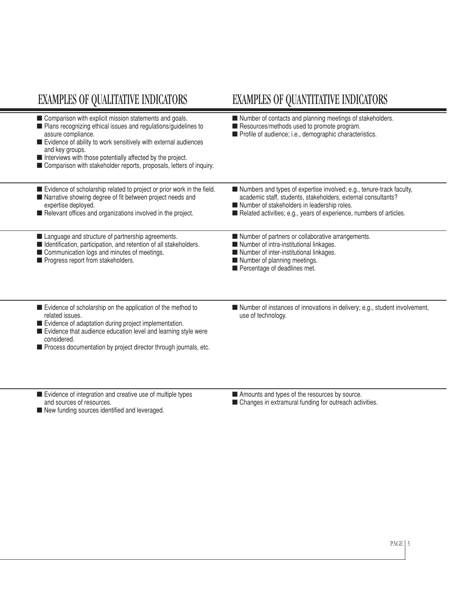## EXAMPLES OF QUALITATIVE INDICATORS EXAMPLES OF QUANTITATIVE INDICATORS

| Comparison with explicit mission statements and goals.<br>■ Plans recognizing ethical issues and regulations/guidelines to<br>assure compliance.<br>Evidence of ability to work sensitively with external audiences<br>and key groups.<br>Interviews with those potentially affected by the project.<br>Comparison with stakeholder reports, proposals, letters of inquiry. | Number of contacts and planning meetings of stakeholders.<br>Resources/methods used to promote program.<br>Profile of audience; i.e., demographic characteristics.                                                                                          |
|-----------------------------------------------------------------------------------------------------------------------------------------------------------------------------------------------------------------------------------------------------------------------------------------------------------------------------------------------------------------------------|-------------------------------------------------------------------------------------------------------------------------------------------------------------------------------------------------------------------------------------------------------------|
| Evidence of scholarship related to project or prior work in the field.<br>■ Narrative showing degree of fit between project needs and<br>expertise deployed.<br>Relevant offices and organizations involved in the project.                                                                                                                                                 | Numbers and types of expertise involved; e.g., tenure-track faculty,<br>academic staff, students, stakeholders, external consultants?<br>Number of stakeholders in leadership roles.<br>Related activities; e.g., years of experience, numbers of articles. |
| Language and structure of partnership agreements.<br>I Identification, participation, and retention of all stakeholders.<br>Communication logs and minutes of meetings.<br>Progress report from stakeholders.                                                                                                                                                               | Number of partners or collaborative arrangements.<br>Number of intra-institutional linkages.<br>Number of inter-institutional linkages.<br>Number of planning meetings.<br>Percentage of deadlines met.                                                     |
| Evidence of scholarship on the application of the method to<br>related issues.<br>Evidence of adaptation during project implementation.<br>Evidence that audience education level and learning style were<br>considered.<br>Process documentation by project director through journals, etc.                                                                                | Number of instances of innovations in delivery; e.g., student involvement,<br>use of technology.                                                                                                                                                            |
| Evidence of integration and creative use of multiple types<br>and sources of resources.                                                                                                                                                                                                                                                                                     | Amounts and types of the resources by source.<br>■ Changes in extramural funding for outreach activities.                                                                                                                                                   |

■ New funding sources identified and leveraged.

■ Changes in extramural funding for outreach activities.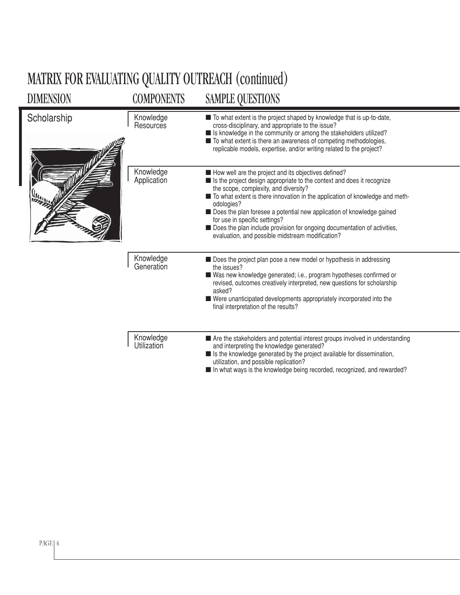| <b>DIMENSION</b> | <b>COMPONENTS</b>               | <b>SAMPLE QUESTIONS</b>                                                                                                                                                                                                                                                                                                                                                                                                                                                                                             |
|------------------|---------------------------------|---------------------------------------------------------------------------------------------------------------------------------------------------------------------------------------------------------------------------------------------------------------------------------------------------------------------------------------------------------------------------------------------------------------------------------------------------------------------------------------------------------------------|
| Scholarship      | Knowledge<br>Resources          | ■ To what extent is the project shaped by knowledge that is up-to-date,<br>cross-disciplinary, and appropriate to the issue?<br>In Its knowledge in the community or among the stakeholders utilized?<br>■ To what extent is there an awareness of competing methodologies,<br>replicable models, expertise, and/or writing related to the project?                                                                                                                                                                 |
|                  | Knowledge<br>Application        | How well are the project and its objectives defined?<br>■ Is the project design appropriate to the context and does it recognize<br>the scope, complexity, and diversity?<br>■ To what extent is there innovation in the application of knowledge and meth-<br>odologies?<br>Does the plan foresee a potential new application of knowledge gained<br>for use in specific settings?<br>Does the plan include provision for ongoing documentation of activities,<br>evaluation, and possible midstream modification? |
|                  | Knowledge<br>Generation         | Does the project plan pose a new model or hypothesis in addressing<br>the issues?<br>Was new knowledge generated; i.e., program hypotheses confirmed or<br>revised, outcomes creatively interpreted, new questions for scholarship<br>asked?<br>■ Were unanticipated developments appropriately incorporated into the<br>final interpretation of the results?                                                                                                                                                       |
|                  | Knowledge<br><b>Utilization</b> | Are the stakeholders and potential interest groups involved in understanding<br>and interpreting the knowledge generated?<br>■ Is the knowledge generated by the project available for dissemination,<br>utilization, and possible replication?<br>In what ways is the knowledge being recorded, recognized, and rewarded?                                                                                                                                                                                          |

# MATRIX FOR EVALUATING QUALITY OUTREACH (continued)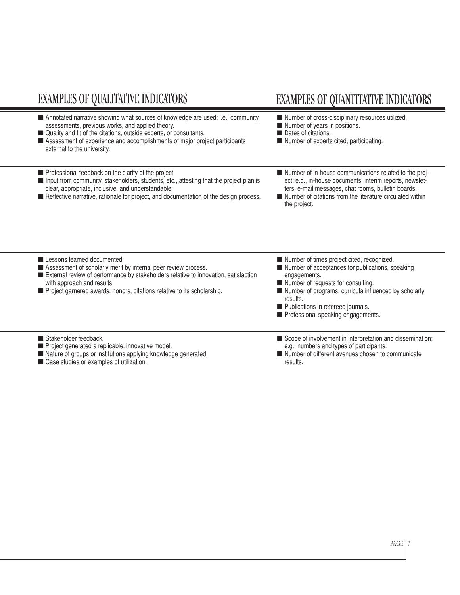| <b>EXAMPLES OF QUALITATIVE INDICATORS</b>                                                                                                                                                                                                                                                                                | <b>EXAMPLES OF QUANTITATIVE INDICATORS</b>                                                                                                                                                                                                                                                            |
|--------------------------------------------------------------------------------------------------------------------------------------------------------------------------------------------------------------------------------------------------------------------------------------------------------------------------|-------------------------------------------------------------------------------------------------------------------------------------------------------------------------------------------------------------------------------------------------------------------------------------------------------|
| Annotated narrative showing what sources of knowledge are used; i.e., community<br>assessments, previous works, and applied theory.<br>■ Quality and fit of the citations, outside experts, or consultants.<br>Assessment of experience and accomplishments of major project participants<br>external to the university. | Number of cross-disciplinary resources utilized.<br>Number of years in positions.<br>Dates of citations.<br>Number of experts cited, participating.                                                                                                                                                   |
| Professional feedback on the clarity of the project.<br>Imput from community, stakeholders, students, etc., attesting that the project plan is<br>clear, appropriate, inclusive, and understandable.<br>Reflective narrative, rationale for project, and documentation of the design process.                            | Number of in-house communications related to the proj-<br>ect; e.g., in-house documents, interim reports, newslet-<br>ters, e-mail messages, chat rooms, bulletin boards.<br>Number of citations from the literature circulated within<br>the project.                                                |
| Lessons learned documented.<br>Assessment of scholarly merit by internal peer review process.<br>External review of performance by stakeholders relative to innovation, satisfaction<br>with approach and results.<br>Project garnered awards, honors, citations relative to its scholarship.                            | Number of times project cited, recognized.<br>Number of acceptances for publications, speaking<br>engagements.<br>Number of requests for consulting.<br>Number of programs, curricula influenced by scholarly<br>results.<br>Publications in refereed journals.<br>Professional speaking engagements. |
| Stakeholder feedback.<br>Project generated a replicable, innovative model.<br>Nature of groups or institutions applying knowledge generated.<br>Case studies or examples of utilization.                                                                                                                                 | Scope of involvement in interpretation and dissemination;<br>e.g., numbers and types of participants.<br>Number of different avenues chosen to communicate<br>results.                                                                                                                                |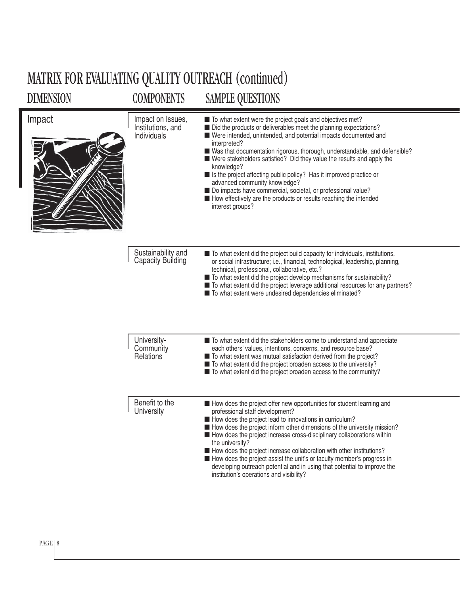### DIMENSION COMPONENTS SAMPLE QUESTIONS MATRIX FOR EVALUATING QUALITY OUTREACH (continued)

| Impact | Impact on Issues,<br>Institutions, and<br>Individuals | ■ To what extent were the project goals and objectives met?<br>Did the products or deliverables meet the planning expectations?<br>Were intended, unintended, and potential impacts documented and<br>interpreted?<br>■ Was that documentation rigorous, thorough, understandable, and defensible?<br>■ Were stakeholders satisfied? Did they value the results and apply the<br>knowledge?<br>Is the project affecting public policy? Has it improved practice or<br>advanced community knowledge?<br>Do impacts have commercial, societal, or professional value?<br>How effectively are the products or results reaching the intended<br>interest groups? |
|--------|-------------------------------------------------------|--------------------------------------------------------------------------------------------------------------------------------------------------------------------------------------------------------------------------------------------------------------------------------------------------------------------------------------------------------------------------------------------------------------------------------------------------------------------------------------------------------------------------------------------------------------------------------------------------------------------------------------------------------------|
|        | Sustainability and<br>Capacity Building               | To what extent did the project build capacity for individuals, institutions,<br>or social infrastructure; i.e., financial, technological, leadership, planning,<br>technical, professional, collaborative, etc.?<br>To what extent did the project develop mechanisms for sustainability?<br>■ To what extent did the project leverage additional resources for any partners?<br>■ To what extent were undesired dependencies eliminated?                                                                                                                                                                                                                    |
|        | University-<br>Community<br>Relations                 | ■ To what extent did the stakeholders come to understand and appreciate<br>each others' values, intentions, concerns, and resource base?<br>■ To what extent was mutual satisfaction derived from the project?<br>■ To what extent did the project broaden access to the university?<br>■ To what extent did the project broaden access to the community?                                                                                                                                                                                                                                                                                                    |
|        | Benefit to the<br>University                          | How does the project offer new opportunities for student learning and<br>professional staff development?<br>How does the project lead to innovations in curriculum?<br>How does the project inform other dimensions of the university mission?<br>How does the project increase cross-disciplinary collaborations within<br>the university?<br>How does the project increase collaboration with other institutions?<br>How does the project assist the unit's or faculty member's progress in<br>developing outreach potential and in using that potential to improve the<br>institution's operations and visibility?                                        |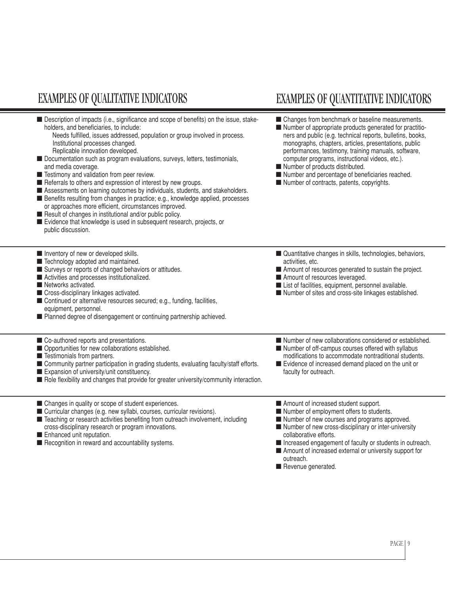#### EXAMPLES OF QUALITATIVE INDICATORS EXAMPLES OF QUANTITATIVE INDICATORS

■ Description of impacts (i.e., significance and scope of benefits) on the issue, stakeholders, and beneficiaries, to include:

 Needs fulfilled, issues addressed, population or group involved in process. Institutional processes changed.

- Replicable innovation developed.
- Documentation such as program evaluations, surveys, letters, testimonials, and media coverage.
- Testimony and validation from peer review.
- Referrals to others and expression of interest by new groups.
- Assessments on learning outcomes by individuals, students, and stakeholders.
- Benefits resulting from changes in practice; e.g., knowledge applied, processes or approaches more efficient, circumstances improved.
- Result of changes in institutional and/or public policy.
- Evidence that knowledge is used in subsequent research, projects, or public discussion.

#### ■ Inventory of new or developed skills.

- Technology adopted and maintained.
- Surveys or reports of changed behaviors or attitudes.
- Activities and processes institutionalized.
- Networks activated.
- Cross-disciplinary linkages activated.

■ Co-authored reports and presentations. ■ Opportunities for new collaborations established.

■ Expansion of university/unit constituency.

- Continued or alternative resources secured; e.g., funding, facilities, equipment, personnel.
- Planned degree of disengagement or continuing partnership achieved.
- 
- Changes from benchmark or baseline measurements.
- Number of appropriate products generated for practitioners and public (e.g. technical reports, bulletins, books, monographs, chapters, articles, presentations, public performances, testimony, training manuals, software, computer programs, instructional videos, etc.).
- Number of products distributed.
- Number and percentage of beneficiaries reached.
- Number of contracts, patents, copyrights.

- Quantitative changes in skills, technologies, behaviors, activities, etc.
- Amount of resources generated to sustain the project.
- Amount of resources leveraged.
- List of facilities, equipment, personnel available. ■ Number of sites and cross-site linkages established.
- Number of new collaborations considered or established.
- Number of off-campus courses offered with syllabus modifications to accommodate nontraditional students.
- Evidence of increased demand placed on the unit or faculty for outreach.

- Changes in quality or scope of student experiences.
- Curricular changes (e.g. new syllabi, courses, curricular revisions).
- Teaching or research activities benefiting from outreach involvement, including cross-disciplinary research or program innovations.

■ Community partner participation in grading students, evaluating faculty/staff efforts.

■ Role flexibility and changes that provide for greater university/community interaction.

■ Enhanced unit reputation.

■ Testimonials from partners.

■ Recognition in reward and accountability systems.

- Amount of increased student support.
- Number of employment offers to students.
- Number of new courses and programs approved.
- Number of new cross-disciplinary or inter-university collaborative efforts.
- Increased engagement of faculty or students in outreach.
- Amount of increased external or university support for outreach.
- Revenue generated.